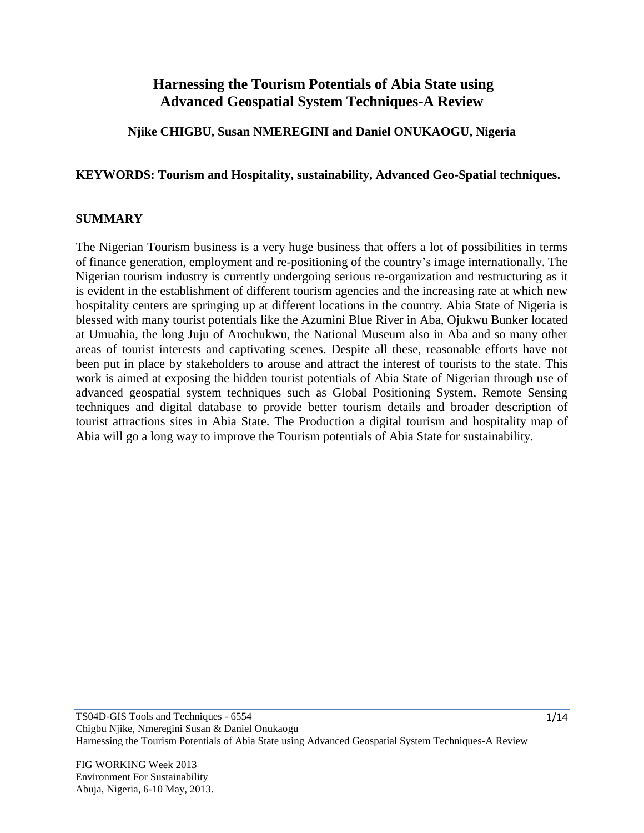# **Harnessing the Tourism Potentials of Abia State using Advanced Geospatial System Techniques-A Review**

## **Njike CHIGBU, Susan NMEREGINI and Daniel ONUKAOGU, Nigeria**

#### **KEYWORDS: Tourism and Hospitality, sustainability, Advanced Geo-Spatial techniques.**

#### **SUMMARY**

The Nigerian Tourism business is a very huge business that offers a lot of possibilities in terms of finance generation, employment and re-positioning of the country's image internationally. The Nigerian tourism industry is currently undergoing serious re-organization and restructuring as it is evident in the establishment of different tourism agencies and the increasing rate at which new hospitality centers are springing up at different locations in the country. Abia State of Nigeria is blessed with many tourist potentials like the Azumini Blue River in Aba, Ojukwu Bunker located at Umuahia, the long Juju of Arochukwu, the National Museum also in Aba and so many other areas of tourist interests and captivating scenes. Despite all these, reasonable efforts have not been put in place by stakeholders to arouse and attract the interest of tourists to the state. This work is aimed at exposing the hidden tourist potentials of Abia State of Nigerian through use of advanced geospatial system techniques such as Global Positioning System, Remote Sensing techniques and digital database to provide better tourism details and broader description of tourist attractions sites in Abia State. The Production a digital tourism and hospitality map of Abia will go a long way to improve the Tourism potentials of Abia State for sustainability.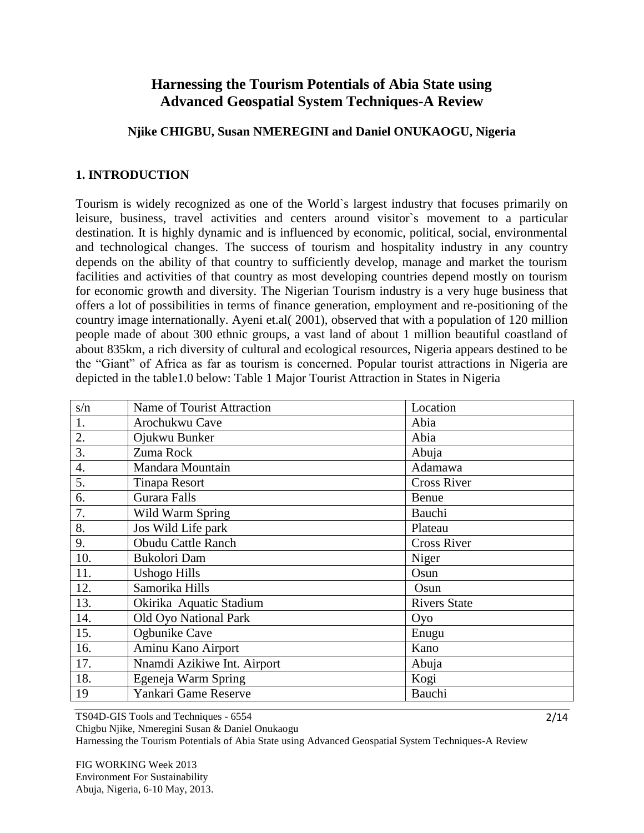# **Harnessing the Tourism Potentials of Abia State using Advanced Geospatial System Techniques-A Review**

## **Njike CHIGBU, Susan NMEREGINI and Daniel ONUKAOGU, Nigeria**

## **1. INTRODUCTION**

Tourism is widely recognized as one of the World`s largest industry that focuses primarily on leisure, business, travel activities and centers around visitor`s movement to a particular destination. It is highly dynamic and is influenced by economic, political, social, environmental and technological changes. The success of tourism and hospitality industry in any country depends on the ability of that country to sufficiently develop, manage and market the tourism facilities and activities of that country as most developing countries depend mostly on tourism for economic growth and diversity. The Nigerian Tourism industry is a very huge business that offers a lot of possibilities in terms of finance generation, employment and re-positioning of the country image internationally. Ayeni et.al( 2001), observed that with a population of 120 million people made of about 300 ethnic groups, a vast land of about 1 million beautiful coastland of about 835km, a rich diversity of cultural and ecological resources, Nigeria appears destined to be the "Giant" of Africa as far as tourism is concerned. Popular tourist attractions in Nigeria are depicted in the table1.0 below: Table 1 Major Tourist Attraction in States in Nigeria

| s/n                | <b>Name of Tourist Attraction</b> | Location            |
|--------------------|-----------------------------------|---------------------|
| 1.                 | Arochukwu Cave                    | Abia                |
| 2.                 | Ojukwu Bunker                     | Abia                |
| $\overline{3}$ .   | Zuma Rock                         | Abuja               |
| $\boldsymbol{4}$ . | Mandara Mountain                  | Adamawa             |
| 5.                 | <b>Tinapa Resort</b>              | <b>Cross River</b>  |
| 6.                 | <b>Gurara Falls</b>               | Benue               |
| 7.                 | Wild Warm Spring                  | Bauchi              |
| 8.                 | Jos Wild Life park                | Plateau             |
| 9.                 | <b>Obudu Cattle Ranch</b>         | <b>Cross River</b>  |
| 10.                | Bukolori Dam                      | Niger               |
| 11.                | <b>Ushogo Hills</b>               | Osun                |
| 12.                | Samorika Hills                    | Osun                |
| 13.                | Okirika Aquatic Stadium           | <b>Rivers State</b> |
| 14.                | Old Oyo National Park             | Oyo                 |
| 15.                | Ogbunike Cave                     | Enugu               |
| 16.                | Aminu Kano Airport                | Kano                |
| 17.                | Nnamdi Azikiwe Int. Airport       | Abuja               |
| 18.                | Egeneja Warm Spring               | Kogi                |
| 19                 | Yankari Game Reserve              | Bauchi              |

TS04D-GIS Tools and Techniques - 6554

Chigbu Njike, Nmeregini Susan & Daniel Onukaogu

Harnessing the Tourism Potentials of Abia State using Advanced Geospatial System Techniques-A Review

FIG WORKING Week 2013 Environment For Sustainability Abuja, Nigeria, 6-10 May, 2013.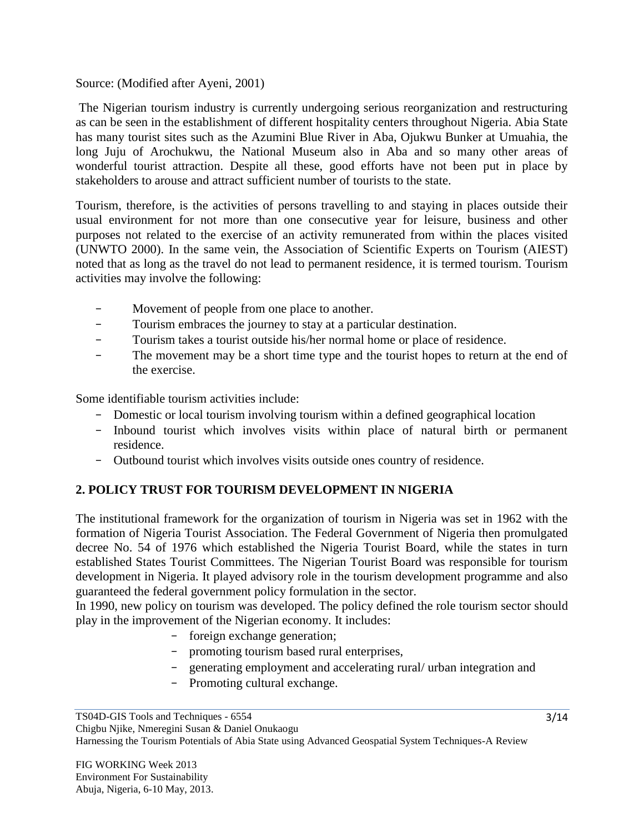## Source: (Modified after Ayeni, 2001)

The Nigerian tourism industry is currently undergoing serious reorganization and restructuring as can be seen in the establishment of different hospitality centers throughout Nigeria. Abia State has many tourist sites such as the Azumini Blue River in Aba, Ojukwu Bunker at Umuahia, the long Juju of Arochukwu, the National Museum also in Aba and so many other areas of wonderful tourist attraction. Despite all these, good efforts have not been put in place by stakeholders to arouse and attract sufficient number of tourists to the state.

Tourism, therefore, is the activities of persons travelling to and staying in places outside their usual environment for not more than one consecutive year for leisure, business and other purposes not related to the exercise of an activity remunerated from within the places visited (UNWTO 2000). In the same vein, the Association of Scientific Experts on Tourism (AIEST) noted that as long as the travel do not lead to permanent residence, it is termed tourism. Tourism activities may involve the following:

- Movement of people from one place to another.
- Tourism embraces the journey to stay at a particular destination.
- Tourism takes a tourist outside his/her normal home or place of residence.
- The movement may be a short time type and the tourist hopes to return at the end of the exercise.

Some identifiable tourism activities include:

- Domestic or local tourism involving tourism within a defined geographical location
- Inbound tourist which involves visits within place of natural birth or permanent residence.
- Outbound tourist which involves visits outside ones country of residence.

## **2. POLICY TRUST FOR TOURISM DEVELOPMENT IN NIGERIA**

The institutional framework for the organization of tourism in Nigeria was set in 1962 with the formation of Nigeria Tourist Association. The Federal Government of Nigeria then promulgated decree No. 54 of 1976 which established the Nigeria Tourist Board, while the states in turn established States Tourist Committees. The Nigerian Tourist Board was responsible for tourism development in Nigeria. It played advisory role in the tourism development programme and also guaranteed the federal government policy formulation in the sector.

In 1990, new policy on tourism was developed. The policy defined the role tourism sector should play in the improvement of the Nigerian economy. It includes:

- foreign exchange generation;
- promoting tourism based rural enterprises,
- generating employment and accelerating rural/ urban integration and
- Promoting cultural exchange.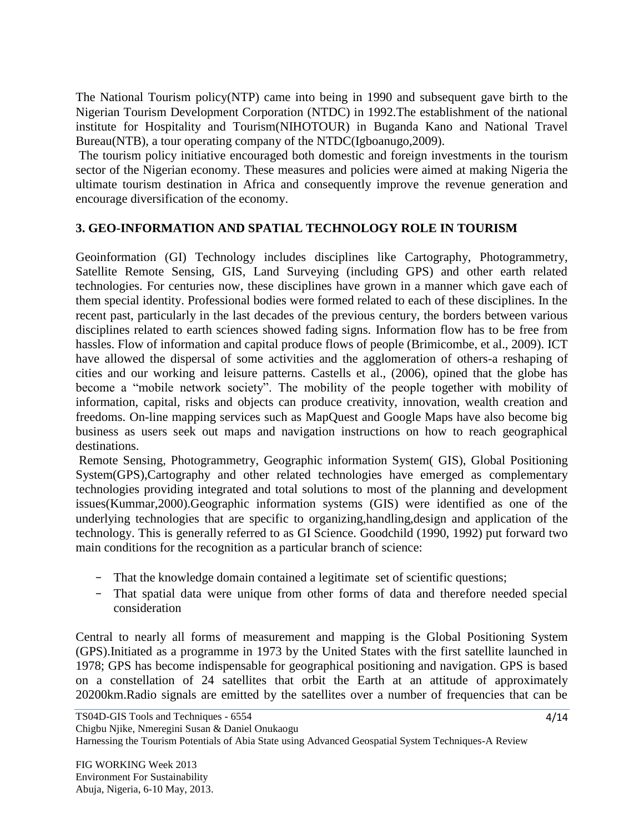The National Tourism policy(NTP) came into being in 1990 and subsequent gave birth to the Nigerian Tourism Development Corporation (NTDC) in 1992.The establishment of the national institute for Hospitality and Tourism(NIHOTOUR) in Buganda Kano and National Travel Bureau(NTB), a tour operating company of the NTDC(Igboanugo,2009).

The tourism policy initiative encouraged both domestic and foreign investments in the tourism sector of the Nigerian economy. These measures and policies were aimed at making Nigeria the ultimate tourism destination in Africa and consequently improve the revenue generation and encourage diversification of the economy.

## **3. GEO-INFORMATION AND SPATIAL TECHNOLOGY ROLE IN TOURISM**

Geoinformation (GI) Technology includes disciplines like Cartography, Photogrammetry, Satellite Remote Sensing, GIS, Land Surveying (including GPS) and other earth related technologies. For centuries now, these disciplines have grown in a manner which gave each of them special identity. Professional bodies were formed related to each of these disciplines. In the recent past, particularly in the last decades of the previous century, the borders between various disciplines related to earth sciences showed fading signs. Information flow has to be free from hassles. Flow of information and capital produce flows of people (Brimicombe, et al., 2009). ICT have allowed the dispersal of some activities and the agglomeration of others-a reshaping of cities and our working and leisure patterns. Castells et al., (2006), opined that the globe has become a "mobile network society". The mobility of the people together with mobility of information, capital, risks and objects can produce creativity, innovation, wealth creation and freedoms. On-line mapping services such as MapQuest and Google Maps have also become big business as users seek out maps and navigation instructions on how to reach geographical destinations.

Remote Sensing, Photogrammetry, Geographic information System( GIS), Global Positioning System(GPS),Cartography and other related technologies have emerged as complementary technologies providing integrated and total solutions to most of the planning and development issues(Kummar,2000).Geographic information systems (GIS) were identified as one of the underlying technologies that are specific to organizing,handling,design and application of the technology. This is generally referred to as GI Science. Goodchild (1990, 1992) put forward two main conditions for the recognition as a particular branch of science:

- That the knowledge domain contained a legitimate set of scientific questions;
- That spatial data were unique from other forms of data and therefore needed special consideration

Central to nearly all forms of measurement and mapping is the Global Positioning System (GPS).Initiated as a programme in 1973 by the United States with the first satellite launched in 1978; GPS has become indispensable for geographical positioning and navigation. GPS is based on a constellation of 24 satellites that orbit the Earth at an attitude of approximately 20200km.Radio signals are emitted by the satellites over a number of frequencies that can be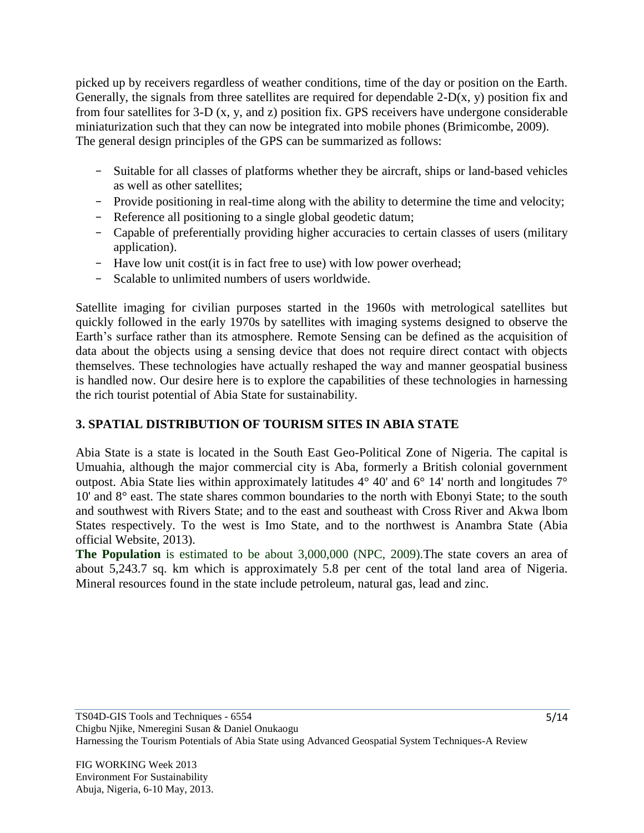picked up by receivers regardless of weather conditions, time of the day or position on the Earth. Generally, the signals from three satellites are required for dependable  $2-D(x, y)$  position fix and from four satellites for 3-D (x, y, and z) position fix. GPS receivers have undergone considerable miniaturization such that they can now be integrated into mobile phones (Brimicombe, 2009). The general design principles of the GPS can be summarized as follows:

- Suitable for all classes of platforms whether they be aircraft, ships or land-based vehicles as well as other satellites;
- Provide positioning in real-time along with the ability to determine the time and velocity;
- Reference all positioning to a single global geodetic datum;
- Capable of preferentially providing higher accuracies to certain classes of users (military application).
- Have low unit cost(it is in fact free to use) with low power overhead;
- Scalable to unlimited numbers of users worldwide.

Satellite imaging for civilian purposes started in the 1960s with metrological satellites but quickly followed in the early 1970s by satellites with imaging systems designed to observe the Earth's surface rather than its atmosphere. Remote Sensing can be defined as the acquisition of data about the objects using a sensing device that does not require direct contact with objects themselves. These technologies have actually reshaped the way and manner geospatial business is handled now. Our desire here is to explore the capabilities of these technologies in harnessing the rich tourist potential of Abia State for sustainability.

## **3. SPATIAL DISTRIBUTION OF TOURISM SITES IN ABIA STATE**

Abia State is a state is located in the South East Geo-Political Zone of Nigeria. The capital is Umuahia, although the major commercial city is Aba, formerly a British colonial government outpost. Abia State lies within approximately latitudes 4° 40' and 6° 14' north and longitudes 7° 10' and 8° east. The state shares common boundaries to the north with Ebonyi State; to the south and southwest with Rivers State; and to the east and southeast with Cross River and Akwa lbom States respectively. To the west is Imo State, and to the northwest is Anambra State (Abia official Website, 2013).

**The Population** is estimated to be about 3,000,000 (NPC, 2009).The state covers an area of about 5,243.7 sq. km which is approximately 5.8 per cent of the total land area of Nigeria. Mineral resources found in the state include petroleum, natural gas, lead and zinc.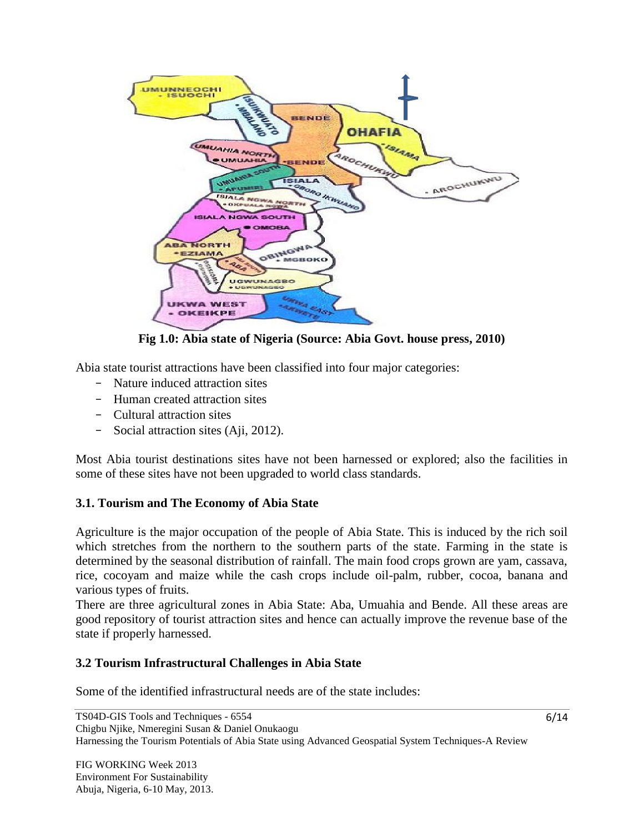

**Fig 1.0: Abia state of Nigeria (Source: Abia Govt. house press, 2010)**

Abia state tourist attractions have been classified into four major categories:

- Nature induced attraction sites
- Human created attraction sites
- Cultural attraction sites
- Social attraction sites (Aji, 2012).

Most Abia tourist destinations sites have not been harnessed or explored; also the facilities in some of these sites have not been upgraded to world class standards.

### **3.1. Tourism and The Economy of Abia State**

Agriculture is the major occupation of the people of Abia State. This is induced by the rich soil which stretches from the northern to the southern parts of the state. Farming in the state is determined by the seasonal distribution of rainfall. The main food crops grown are yam, cassava, rice, cocoyam and maize while the cash crops include oil-palm, rubber, cocoa, banana and various types of fruits.

There are three agricultural zones in Abia State: Aba, Umuahia and Bende. All these areas are good repository of tourist attraction sites and hence can actually improve the revenue base of the state if properly harnessed.

### **3.2 Tourism Infrastructural Challenges in Abia State**

Some of the identified infrastructural needs are of the state includes: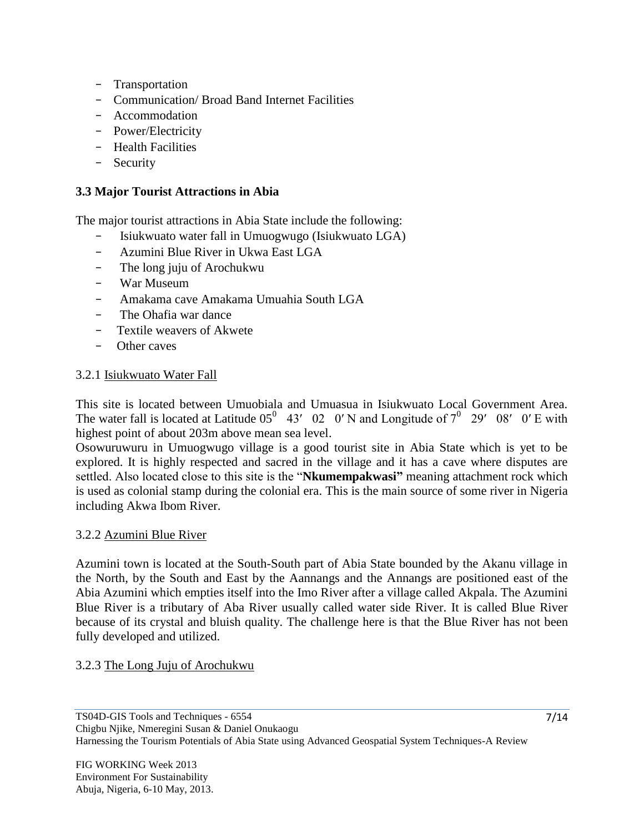- Transportation
- Communication/ Broad Band Internet Facilities
- Accommodation
- Power/Electricity
- Health Facilities
- Security

### **3.3 Major Tourist Attractions in Abia**

The major tourist attractions in Abia State include the following:

- Isiukwuato water fall in Umuogwugo (Isiukwuato LGA)
- Azumini Blue River in Ukwa East LGA
- The long juju of Arochukwu
- War Museum
- Amakama cave Amakama Umuahia South LGA
- The Ohafia war dance
- Textile weavers of Akwete
- Other caves

### 3.2.1 Isiukwuato Water Fall

This site is located between Umuobiala and Umuasua in Isiukwuato Local Government Area. The water fall is located at Latitude  $05^0$  43' 02 0'N and Longitude of  $7^0$  29' 08' 0'E with highest point of about 203m above mean sea level.

Osowuruwuru in Umuogwugo village is a good tourist site in Abia State which is yet to be explored. It is highly respected and sacred in the village and it has a cave where disputes are settled. Also located close to this site is the "**Nkumempakwasi"** meaning attachment rock which is used as colonial stamp during the colonial era. This is the main source of some river in Nigeria including Akwa Ibom River.

### 3.2.2 Azumini Blue River

Azumini town is located at the South-South part of Abia State bounded by the Akanu village in the North, by the South and East by the Aannangs and the Annangs are positioned east of the Abia Azumini which empties itself into the Imo River after a village called Akpala. The Azumini Blue River is a tributary of Aba River usually called water side River. It is called Blue River because of its crystal and bluish quality. The challenge here is that the Blue River has not been fully developed and utilized.

### 3.2.3 The Long Juju of Arochukwu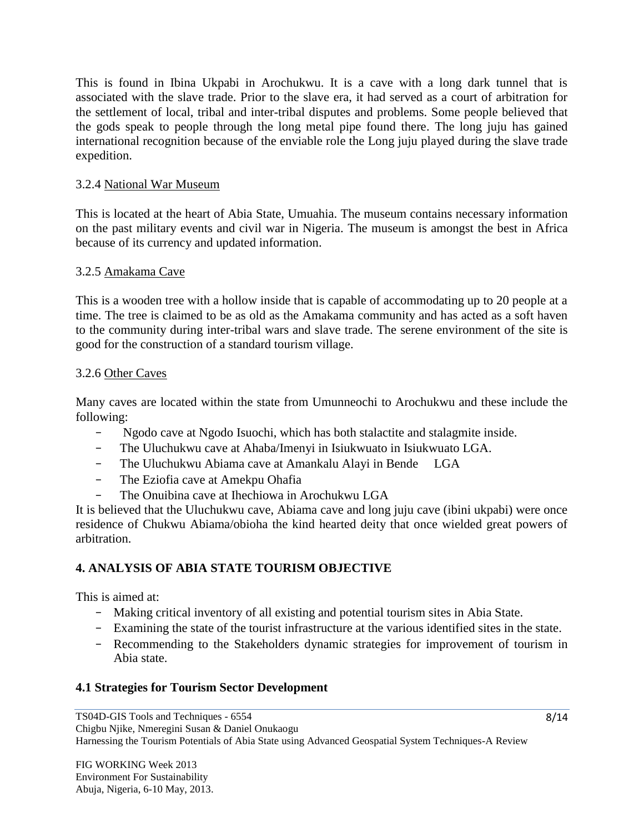This is found in Ibina Ukpabi in Arochukwu. It is a cave with a long dark tunnel that is associated with the slave trade. Prior to the slave era, it had served as a court of arbitration for the settlement of local, tribal and inter-tribal disputes and problems. Some people believed that the gods speak to people through the long metal pipe found there. The long juju has gained international recognition because of the enviable role the Long juju played during the slave trade expedition.

## 3.2.4 National War Museum

This is located at the heart of Abia State, Umuahia. The museum contains necessary information on the past military events and civil war in Nigeria. The museum is amongst the best in Africa because of its currency and updated information.

## 3.2.5 Amakama Cave

This is a wooden tree with a hollow inside that is capable of accommodating up to 20 people at a time. The tree is claimed to be as old as the Amakama community and has acted as a soft haven to the community during inter-tribal wars and slave trade. The serene environment of the site is good for the construction of a standard tourism village.

## 3.2.6 Other Caves

Many caves are located within the state from Umunneochi to Arochukwu and these include the following:

- Ngodo cave at Ngodo Isuochi, which has both stalactite and stalagmite inside.
- The Uluchukwu cave at Ahaba/Imenyi in Isiukwuato in Isiukwuato LGA.
- The Uluchukwu Abiama cave at Amankalu Alayi in Bende LGA
- The Eziofia cave at Amekpu Ohafia
- The Onuibina cave at Ihechiowa in Arochukwu LGA

It is believed that the Uluchukwu cave, Abiama cave and long juju cave (ibini ukpabi) were once residence of Chukwu Abiama/obioha the kind hearted deity that once wielded great powers of arbitration.

## **4. ANALYSIS OF ABIA STATE TOURISM OBJECTIVE**

This is aimed at:

- Making critical inventory of all existing and potential tourism sites in Abia State.
- Examining the state of the tourist infrastructure at the various identified sites in the state.
- Recommending to the Stakeholders dynamic strategies for improvement of tourism in Abia state.

## **4.1 Strategies for Tourism Sector Development**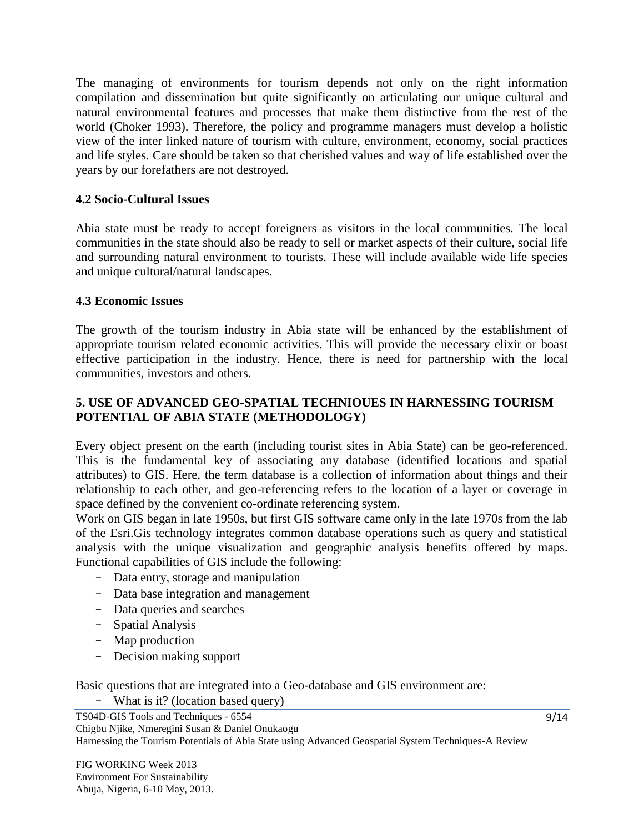The managing of environments for tourism depends not only on the right information compilation and dissemination but quite significantly on articulating our unique cultural and natural environmental features and processes that make them distinctive from the rest of the world (Choker 1993). Therefore, the policy and programme managers must develop a holistic view of the inter linked nature of tourism with culture, environment, economy, social practices and life styles. Care should be taken so that cherished values and way of life established over the years by our forefathers are not destroyed.

### **4.2 Socio-Cultural Issues**

Abia state must be ready to accept foreigners as visitors in the local communities. The local communities in the state should also be ready to sell or market aspects of their culture, social life and surrounding natural environment to tourists. These will include available wide life species and unique cultural/natural landscapes.

### **4.3 Economic Issues**

The growth of the tourism industry in Abia state will be enhanced by the establishment of appropriate tourism related economic activities. This will provide the necessary elixir or boast effective participation in the industry. Hence, there is need for partnership with the local communities, investors and others.

## **5. USE OF ADVANCED GEO-SPATIAL TECHNIOUES IN HARNESSING TOURISM POTENTIAL OF ABIA STATE (METHODOLOGY)**

Every object present on the earth (including tourist sites in Abia State) can be geo-referenced. This is the fundamental key of associating any database (identified locations and spatial attributes) to GIS. Here, the term database is a collection of information about things and their relationship to each other, and geo-referencing refers to the location of a layer or coverage in space defined by the convenient co-ordinate referencing system.

Work on GIS began in late 1950s, but first GIS software came only in the late 1970s from the lab of the Esri.Gis technology integrates common database operations such as query and statistical analysis with the unique visualization and geographic analysis benefits offered by maps. Functional capabilities of GIS include the following:

- Data entry, storage and manipulation
- Data base integration and management
- Data queries and searches
- Spatial Analysis
- Map production
- Decision making support

Basic questions that are integrated into a Geo-database and GIS environment are:

- What is it? (location based query)

TS04D-GIS Tools and Techniques - 6554 Chigbu Njike, Nmeregini Susan & Daniel Onukaogu Harnessing the Tourism Potentials of Abia State using Advanced Geospatial System Techniques-A Review

FIG WORKING Week 2013 Environment For Sustainability Abuja, Nigeria, 6-10 May, 2013.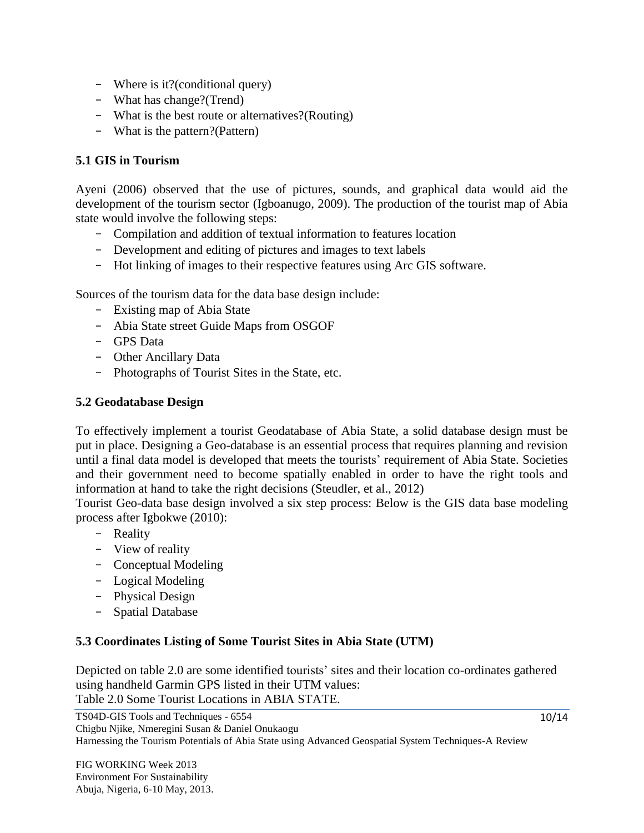- Where is it?(conditional query)
- What has change?(Trend)
- What is the best route or alternatives?(Routing)
- What is the pattern?(Pattern)

## **5.1 GIS in Tourism**

Ayeni (2006) observed that the use of pictures, sounds, and graphical data would aid the development of the tourism sector (Igboanugo, 2009). The production of the tourist map of Abia state would involve the following steps:

- Compilation and addition of textual information to features location
- Development and editing of pictures and images to text labels
- Hot linking of images to their respective features using Arc GIS software.

Sources of the tourism data for the data base design include:

- Existing map of Abia State
- Abia State street Guide Maps from OSGOF
- GPS Data
- Other Ancillary Data
- Photographs of Tourist Sites in the State, etc.

## **5.2 Geodatabase Design**

To effectively implement a tourist Geodatabase of Abia State, a solid database design must be put in place. Designing a Geo-database is an essential process that requires planning and revision until a final data model is developed that meets the tourists' requirement of Abia State. Societies and their government need to become spatially enabled in order to have the right tools and information at hand to take the right decisions (Steudler, et al., 2012)

Tourist Geo-data base design involved a six step process: Below is the GIS data base modeling process after Igbokwe (2010):

- Reality
- View of reality
- Conceptual Modeling
- Logical Modeling
- Physical Design
- Spatial Database

### **5.3 Coordinates Listing of Some Tourist Sites in Abia State (UTM)**

Depicted on table 2.0 are some identified tourists' sites and their location co-ordinates gathered using handheld Garmin GPS listed in their UTM values: Table 2.0 Some Tourist Locations in ABIA STATE.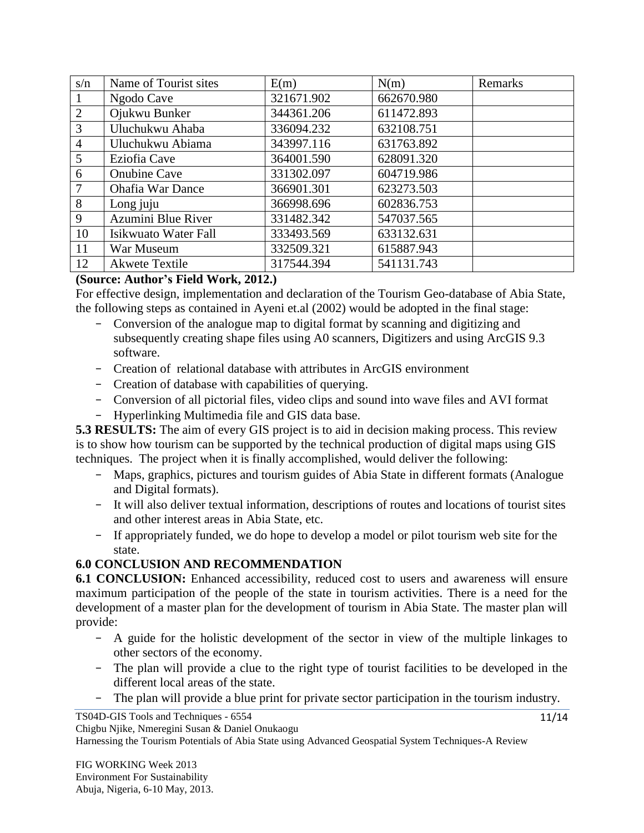| s/n | Name of Tourist sites       | E(m)       | N(m)       | Remarks |
|-----|-----------------------------|------------|------------|---------|
|     | Ngodo Cave                  | 321671.902 | 662670.980 |         |
| 2   | Ojukwu Bunker               | 344361.206 | 611472.893 |         |
| 3   | Uluchukwu Ahaba             | 336094.232 | 632108.751 |         |
| 4   | Uluchukwu Abiama            | 343997.116 | 631763.892 |         |
| 5   | Eziofia Cave                | 364001.590 | 628091.320 |         |
| 6   | <b>Onubine Cave</b>         | 331302.097 | 604719.986 |         |
| 7   | <b>Ohafia War Dance</b>     | 366901.301 | 623273.503 |         |
| 8   | Long juju                   | 366998.696 | 602836.753 |         |
| 9   | Azumini Blue River          | 331482.342 | 547037.565 |         |
| 10  | <b>Isikwuato Water Fall</b> | 333493.569 | 633132.631 |         |
| 11  | War Museum                  | 332509.321 | 615887.943 |         |
| 12  | <b>Akwete Textile</b>       | 317544.394 | 541131.743 |         |

## **(Source: Author's Field Work, 2012.)**

For effective design, implementation and declaration of the Tourism Geo-database of Abia State, the following steps as contained in Ayeni et.al (2002) would be adopted in the final stage:

- Conversion of the analogue map to digital format by scanning and digitizing and subsequently creating shape files using A0 scanners, Digitizers and using ArcGIS 9.3 software.
- Creation of relational database with attributes in ArcGIS environment
- Creation of database with capabilities of querying.
- Conversion of all pictorial files, video clips and sound into wave files and AVI format
- Hyperlinking Multimedia file and GIS data base.

**5.3 RESULTS:** The aim of every GIS project is to aid in decision making process. This review is to show how tourism can be supported by the technical production of digital maps using GIS techniques. The project when it is finally accomplished, would deliver the following:

- Maps, graphics, pictures and tourism guides of Abia State in different formats (Analogue and Digital formats).
- It will also deliver textual information, descriptions of routes and locations of tourist sites and other interest areas in Abia State, etc.
- If appropriately funded, we do hope to develop a model or pilot tourism web site for the state.

## **6.0 CONCLUSION AND RECOMMENDATION**

**6.1 CONCLUSION:** Enhanced accessibility, reduced cost to users and awareness will ensure maximum participation of the people of the state in tourism activities. There is a need for the development of a master plan for the development of tourism in Abia State. The master plan will provide:

- A guide for the holistic development of the sector in view of the multiple linkages to other sectors of the economy.
- The plan will provide a clue to the right type of tourist facilities to be developed in the different local areas of the state.
- The plan will provide a blue print for private sector participation in the tourism industry.

Harnessing the Tourism Potentials of Abia State using Advanced Geospatial System Techniques-A Review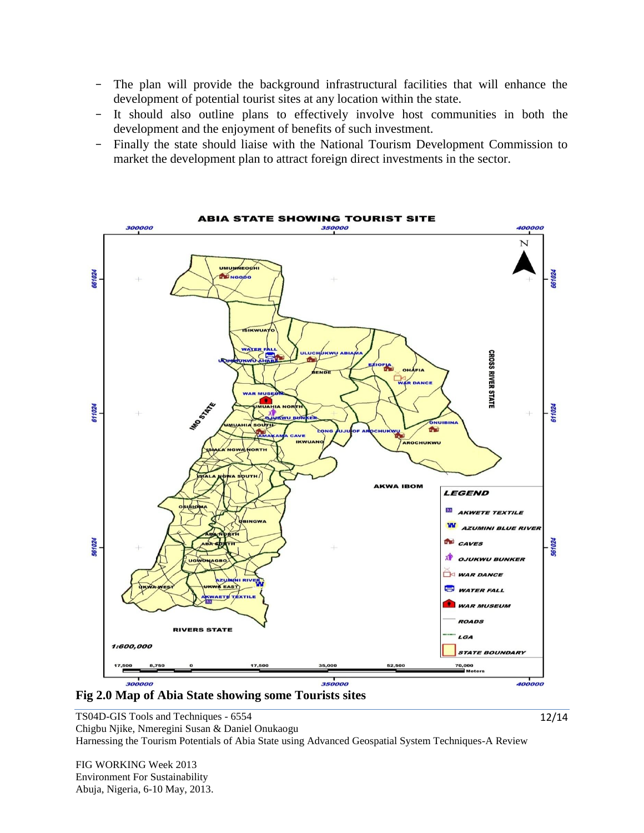- The plan will provide the background infrastructural facilities that will enhance the development of potential tourist sites at any location within the state.
- It should also outline plans to effectively involve host communities in both the development and the enjoyment of benefits of such investment.
- Finally the state should liaise with the National Tourism Development Commission to market the development plan to attract foreign direct investments in the sector.





TS04D-GIS Tools and Techniques - 6554 Chigbu Njike, Nmeregini Susan & Daniel Onukaogu Harnessing the Tourism Potentials of Abia State using Advanced Geospatial System Techniques-A Review

FIG WORKING Week 2013 Environment For Sustainability Abuja, Nigeria, 6-10 May, 2013.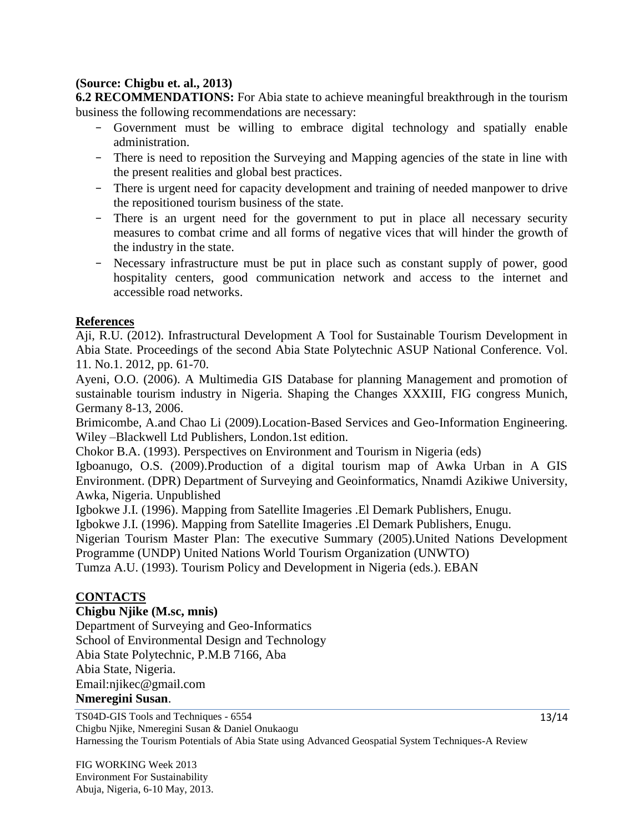## **(Source: Chigbu et. al., 2013)**

**6.2 RECOMMENDATIONS:** For Abia state to achieve meaningful breakthrough in the tourism business the following recommendations are necessary:

- Government must be willing to embrace digital technology and spatially enable administration.
- There is need to reposition the Surveying and Mapping agencies of the state in line with the present realities and global best practices.
- There is urgent need for capacity development and training of needed manpower to drive the repositioned tourism business of the state.
- There is an urgent need for the government to put in place all necessary security measures to combat crime and all forms of negative vices that will hinder the growth of the industry in the state.
- Necessary infrastructure must be put in place such as constant supply of power, good hospitality centers, good communication network and access to the internet and accessible road networks.

## **References**

Aji, R.U. (2012). Infrastructural Development A Tool for Sustainable Tourism Development in Abia State. Proceedings of the second Abia State Polytechnic ASUP National Conference. Vol. 11. No.1. 2012, pp. 61-70.

Ayeni, O.O. (2006). A Multimedia GIS Database for planning Management and promotion of sustainable tourism industry in Nigeria. Shaping the Changes XXXIII, FIG congress Munich, Germany 8-13, 2006.

Brimicombe, A.and Chao Li (2009).Location-Based Services and Geo-Information Engineering. Wiley –Blackwell Ltd Publishers, London.1st edition.

Chokor B.A. (1993). Perspectives on Environment and Tourism in Nigeria (eds)

Igboanugo, O.S. (2009).Production of a digital tourism map of Awka Urban in A GIS Environment. (DPR) Department of Surveying and Geoinformatics, Nnamdi Azikiwe University, Awka, Nigeria. Unpublished

Igbokwe J.I. (1996). Mapping from Satellite Imageries .El Demark Publishers, Enugu.

Igbokwe J.I. (1996). Mapping from Satellite Imageries .El Demark Publishers, Enugu.

Nigerian Tourism Master Plan: The executive Summary (2005).United Nations Development Programme (UNDP) United Nations World Tourism Organization (UNWTO)

Tumza A.U. (1993). Tourism Policy and Development in Nigeria (eds.). EBAN

### **CONTACTS**

### **Chigbu Njike (M.sc, mnis)**

Department of Surveying and Geo-Informatics School of Environmental Design and Technology Abia State Polytechnic, P.M.B 7166, Aba Abia State, Nigeria. Email:njikec@gmail.com

#### **Nmeregini Susan**.

TS04D-GIS Tools and Techniques - 6554 Chigbu Njike, Nmeregini Susan & Daniel Onukaogu Harnessing the Tourism Potentials of Abia State using Advanced Geospatial System Techniques-A Review

FIG WORKING Week 2013 Environment For Sustainability Abuja, Nigeria, 6-10 May, 2013.